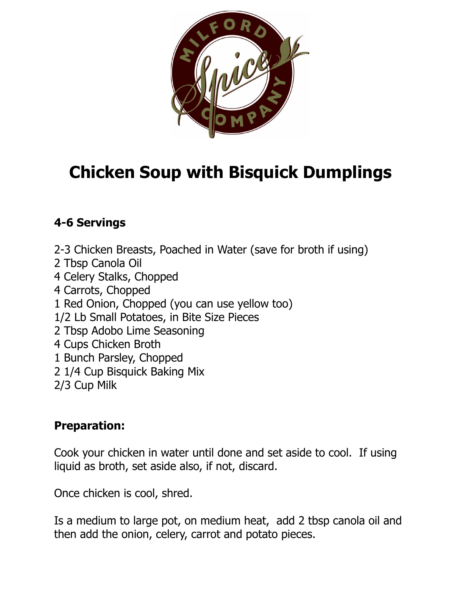

## **Chicken Soup with Bisquick Dumplings**

## **4-6 Servings**

2-3 Chicken Breasts, Poached in Water (save for broth if using) 2 Tbsp Canola Oil 4 Celery Stalks, Chopped 4 Carrots, Chopped 1 Red Onion, Chopped (you can use yellow too) 1/2 Lb Small Potatoes, in Bite Size Pieces 2 Tbsp Adobo Lime Seasoning 4 Cups Chicken Broth 1 Bunch Parsley, Chopped 2 1/4 Cup Bisquick Baking Mix 2/3 Cup Milk

## **Preparation:**

Cook your chicken in water until done and set aside to cool. If using liquid as broth, set aside also, if not, discard.

Once chicken is cool, shred.

Is a medium to large pot, on medium heat, add 2 tbsp canola oil and then add the onion, celery, carrot and potato pieces.